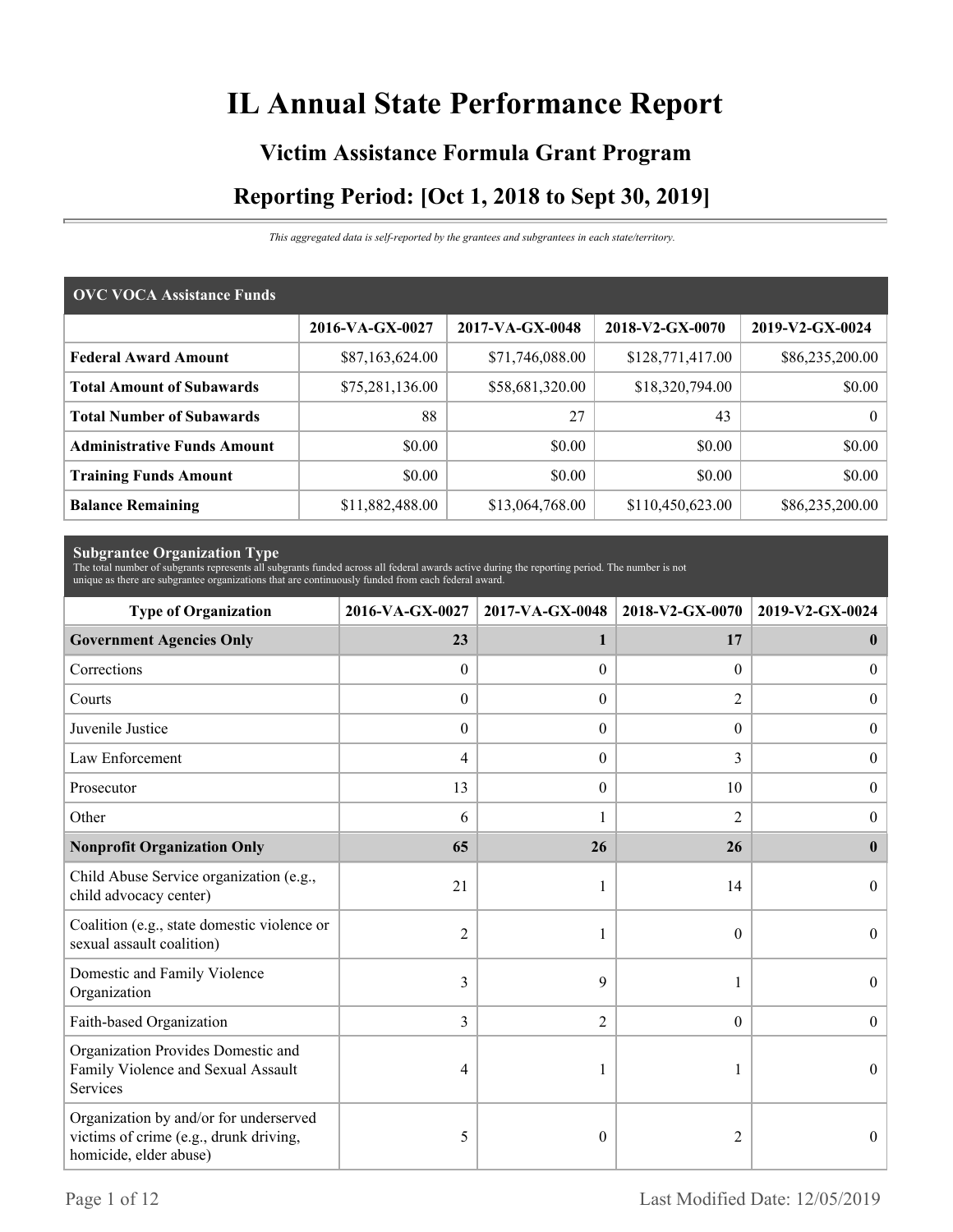# **IL Annual State Performance Report**

# **Victim Assistance Formula Grant Program Reporting Period: [Oct 1, 2018 to Sept 30, 2019]**

*This aggregated data is self-reported by the grantees and subgrantees in each state/territory.*

| <b>OVC VOCA Assistance Funds</b>   |                 |                 |                  |                 |  |
|------------------------------------|-----------------|-----------------|------------------|-----------------|--|
|                                    | 2016-VA-GX-0027 | 2017-VA-GX-0048 | 2018-V2-GX-0070  | 2019-V2-GX-0024 |  |
| <b>Federal Award Amount</b>        | \$87,163,624.00 | \$71,746,088.00 | \$128,771,417.00 | \$86,235,200.00 |  |
| <b>Total Amount of Subawards</b>   | \$75,281,136.00 | \$58,681,320.00 | \$18,320,794.00  | \$0.00          |  |
| <b>Total Number of Subawards</b>   | 88              | 27              | 43               | $\theta$        |  |
| <b>Administrative Funds Amount</b> | \$0.00          | \$0.00          | \$0.00           | \$0.00          |  |
| <b>Training Funds Amount</b>       | \$0.00          | \$0.00          | \$0.00           | \$0.00          |  |
| <b>Balance Remaining</b>           | \$11,882,488.00 | \$13,064,768.00 | \$110,450,623.00 | \$86,235,200.00 |  |

**Subgrantee Organization Type** The total number of subgrants represents all subgrants funded across all federal awards active during the reporting period. The number is not unique as there are subgrantee organizations that are continuously funded from each federal award.

| <b>Type of Organization</b>                                                                                | 2016-VA-GX-0027  | 2017-VA-GX-0048  | 2018-V2-GX-0070  | 2019-V2-GX-0024  |
|------------------------------------------------------------------------------------------------------------|------------------|------------------|------------------|------------------|
| <b>Government Agencies Only</b>                                                                            | 23               | 1                | 17               | $\bf{0}$         |
| Corrections                                                                                                | $\mathbf{0}$     | $\Omega$         | $\Omega$         | $\overline{0}$   |
| Courts                                                                                                     | $\boldsymbol{0}$ | $\theta$         | 2                | $\mathbf{0}$     |
| Juvenile Justice                                                                                           | $\boldsymbol{0}$ | $\boldsymbol{0}$ | $\boldsymbol{0}$ | $\boldsymbol{0}$ |
| Law Enforcement                                                                                            | 4                | $\theta$         | 3                | $\boldsymbol{0}$ |
| Prosecutor                                                                                                 | 13               | $\theta$         | 10               | $\boldsymbol{0}$ |
| Other                                                                                                      | 6                |                  | $\overline{2}$   | $\overline{0}$   |
| <b>Nonprofit Organization Only</b>                                                                         | 65               | 26               | 26               | $\mathbf{0}$     |
| Child Abuse Service organization (e.g.,<br>child advocacy center)                                          | 21               |                  | 14               | $\Omega$         |
| Coalition (e.g., state domestic violence or<br>sexual assault coalition)                                   | $\overline{2}$   |                  | $\theta$         | $\Omega$         |
| Domestic and Family Violence<br>Organization                                                               | 3                | 9                |                  | $\boldsymbol{0}$ |
| Faith-based Organization                                                                                   | 3                | $\overline{2}$   | $\theta$         | $\theta$         |
| Organization Provides Domestic and<br>Family Violence and Sexual Assault<br>Services                       | 4                |                  |                  | $\theta$         |
| Organization by and/or for underserved<br>victims of crime (e.g., drunk driving,<br>homicide, elder abuse) | 5                | $\theta$         | 2                | $\theta$         |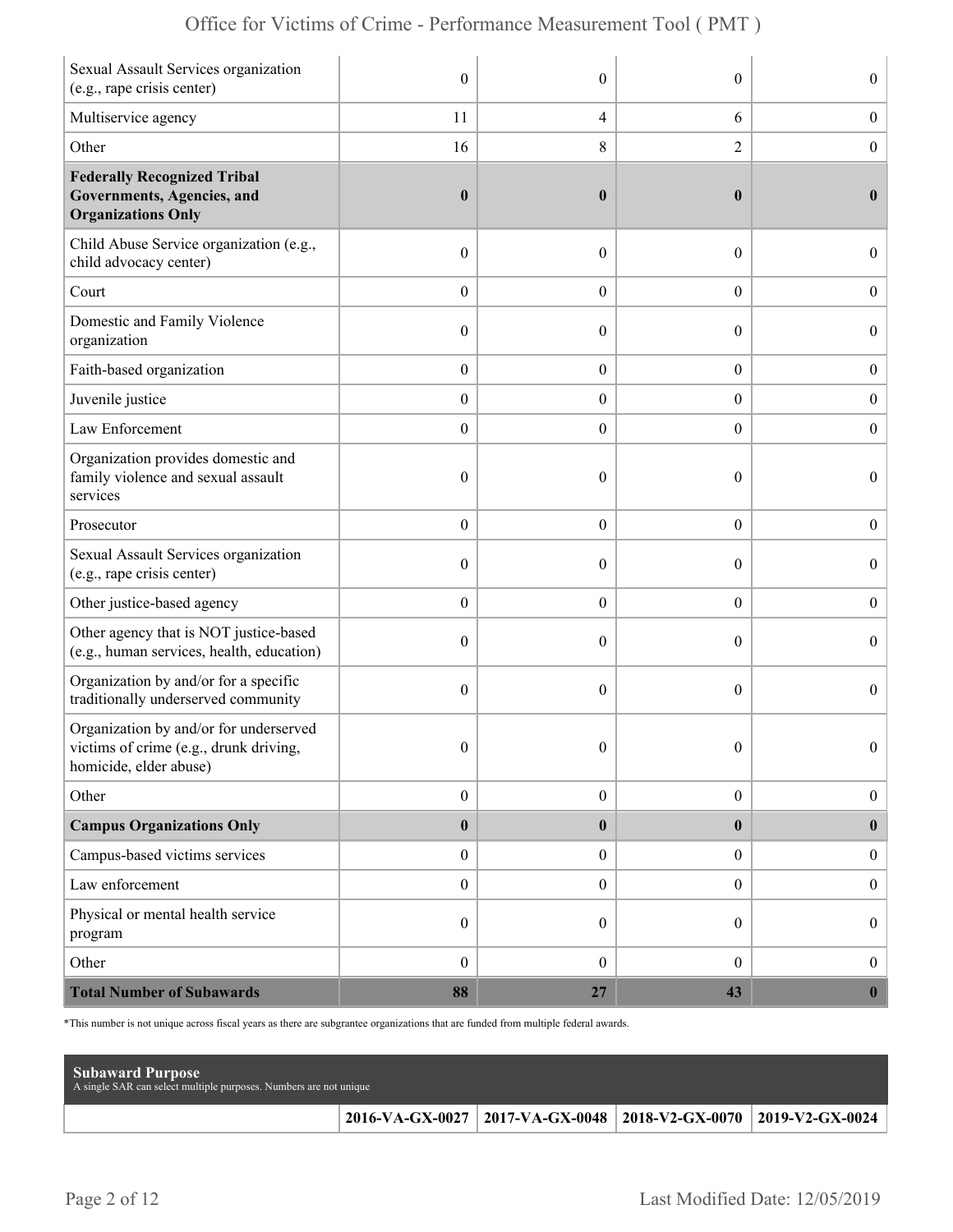| Sexual Assault Services organization<br>(e.g., rape crisis center)                                        | $\mathbf{0}$     | $\theta$         | $\theta$         | $\overline{0}$   |
|-----------------------------------------------------------------------------------------------------------|------------------|------------------|------------------|------------------|
| Multiservice agency                                                                                       | 11               | 4                | 6                | $\boldsymbol{0}$ |
| Other                                                                                                     | 16               | 8                | 2                | $\boldsymbol{0}$ |
| <b>Federally Recognized Tribal</b><br>Governments, Agencies, and<br><b>Organizations Only</b>             | $\boldsymbol{0}$ | $\boldsymbol{0}$ | $\bf{0}$         | $\bf{0}$         |
| Child Abuse Service organization (e.g.,<br>child advocacy center)                                         | $\boldsymbol{0}$ | $\theta$         | $\boldsymbol{0}$ | $\overline{0}$   |
| Court                                                                                                     | $\boldsymbol{0}$ | $\overline{0}$   | $\overline{0}$   | $\boldsymbol{0}$ |
| Domestic and Family Violence<br>organization                                                              | $\boldsymbol{0}$ | $\theta$         | $\theta$         | $\boldsymbol{0}$ |
| Faith-based organization                                                                                  | $\boldsymbol{0}$ | $\boldsymbol{0}$ | $\boldsymbol{0}$ | $\boldsymbol{0}$ |
| Juvenile justice                                                                                          | $\boldsymbol{0}$ | $\overline{0}$   | $\boldsymbol{0}$ | $\boldsymbol{0}$ |
| Law Enforcement                                                                                           | $\boldsymbol{0}$ | $\theta$         | $\overline{0}$   | $\mathbf{0}$     |
| Organization provides domestic and<br>family violence and sexual assault<br>services                      | $\boldsymbol{0}$ | $\mathbf{0}$     | $\theta$         | $\overline{0}$   |
| Prosecutor                                                                                                | $\boldsymbol{0}$ | $\overline{0}$   | $\overline{0}$   | $\boldsymbol{0}$ |
| Sexual Assault Services organization<br>(e.g., rape crisis center)                                        | $\mathbf{0}$     | $\theta$         | $\theta$         | $\overline{0}$   |
| Other justice-based agency                                                                                | $\boldsymbol{0}$ | $\overline{0}$   | $\boldsymbol{0}$ | $\boldsymbol{0}$ |
| Other agency that is NOT justice-based<br>(e.g., human services, health, education)                       | $\boldsymbol{0}$ | $\overline{0}$   | $\theta$         | $\boldsymbol{0}$ |
| Organization by and/or for a specific<br>traditionally underserved community                              | $\boldsymbol{0}$ | $\theta$         | $\theta$         | $\overline{0}$   |
| Organization by and/or for underserved<br>victims of crime (e.g., drunk driving<br>homicide, elder abuse) | $\mathbf{0}$     | $\mathbf{0}$     | $\theta$         | $\overline{0}$   |
| Other                                                                                                     | $\boldsymbol{0}$ | $\boldsymbol{0}$ | $\boldsymbol{0}$ | $\boldsymbol{0}$ |
| <b>Campus Organizations Only</b>                                                                          | $\pmb{0}$        | $\bf{0}$         | $\bf{0}$         | $\bf{0}$         |
| Campus-based victims services                                                                             | $\boldsymbol{0}$ | $\boldsymbol{0}$ | $\overline{0}$   | $\boldsymbol{0}$ |
| Law enforcement                                                                                           | $\boldsymbol{0}$ | $\boldsymbol{0}$ | $\boldsymbol{0}$ | $\boldsymbol{0}$ |
| Physical or mental health service<br>program                                                              | $\boldsymbol{0}$ | $\overline{0}$   | $\overline{0}$   | $\boldsymbol{0}$ |
| Other                                                                                                     | $\boldsymbol{0}$ | $\overline{0}$   | $\overline{0}$   | $\boldsymbol{0}$ |
| <b>Total Number of Subawards</b>                                                                          | 88               | 27               | 43               | $\boldsymbol{0}$ |

\*This number is not unique across fiscal years as there are subgrantee organizations that are funded from multiple federal awards.

| <b>Subaward Purpose</b><br>A single SAR can select multiple purposes. Numbers are not unique |                                                                       |  |
|----------------------------------------------------------------------------------------------|-----------------------------------------------------------------------|--|
|                                                                                              | 2016-VA-GX-0027   2017-VA-GX-0048   2018-V2-GX-0070   2019-V2-GX-0024 |  |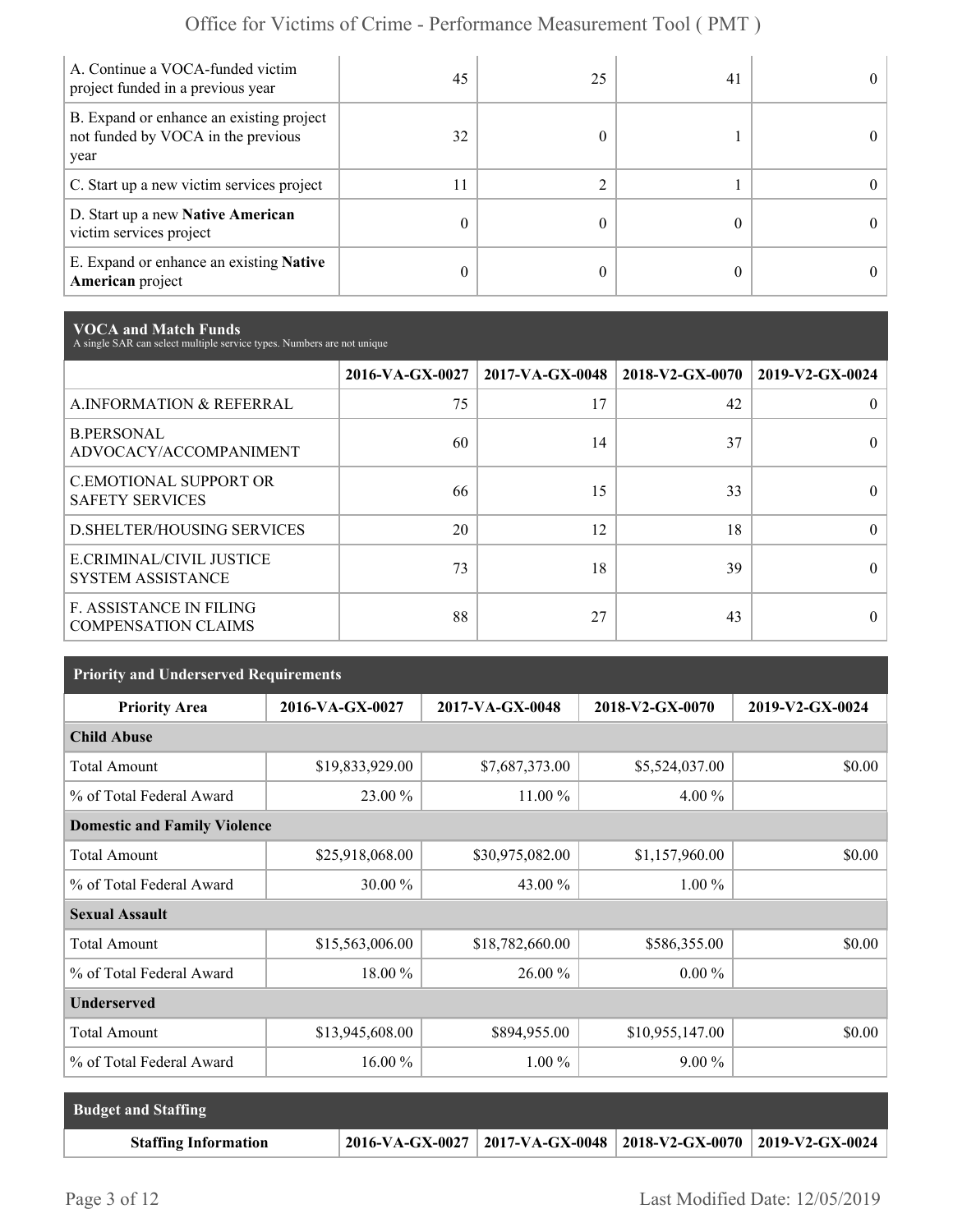| A. Continue a VOCA-funded victim<br>project funded in a previous year                  | 45 | 25 | 41 | 0          |
|----------------------------------------------------------------------------------------|----|----|----|------------|
| B. Expand or enhance an existing project<br>not funded by VOCA in the previous<br>year | 32 |    |    |            |
| C. Start up a new victim services project                                              | 11 |    |    | $^{\circ}$ |
| D. Start up a new Native American<br>victim services project                           |    |    |    |            |
| E. Expand or enhance an existing <b>Native</b><br>American project                     |    |    |    |            |

**VOCA and Match Funds** A single SAR can select multiple service types. Numbers are not unique

|                                                              | 2016-VA-GX-0027 | $2017-VA-GX-0048$ | 2018-V2-GX-0070 | 2019-V2-GX-0024 |
|--------------------------------------------------------------|-----------------|-------------------|-----------------|-----------------|
| A.INFORMATION & REFERRAL                                     | 75              | 17                | 42              | 0               |
| <b>B.PERSONAL</b><br>ADVOCACY/ACCOMPANIMENT                  | 60              | 14                | 37              | $\theta$        |
| <b>C.EMOTIONAL SUPPORT OR</b><br><b>SAFETY SERVICES</b>      | 66              | 15                | 33              |                 |
| <b>D.SHELTER/HOUSING SERVICES</b>                            | 20              | 12                | 18              | 0               |
| E.CRIMINAL/CIVIL JUSTICE<br><b>SYSTEM ASSISTANCE</b>         | 73              | 18                | 39              |                 |
| <b>F. ASSISTANCE IN FILING</b><br><b>COMPENSATION CLAIMS</b> | 88              | 27                | 43              |                 |

| <b>Priority and Underserved Requirements</b> |                 |                 |                 |                 |  |
|----------------------------------------------|-----------------|-----------------|-----------------|-----------------|--|
| <b>Priority Area</b>                         | 2016-VA-GX-0027 | 2017-VA-GX-0048 | 2018-V2-GX-0070 | 2019-V2-GX-0024 |  |
| <b>Child Abuse</b>                           |                 |                 |                 |                 |  |
| <b>Total Amount</b>                          | \$19,833,929.00 | \$7,687,373.00  | \$5,524,037.00  | \$0.00          |  |
| % of Total Federal Award                     | 23.00 %         | 11.00 %         | $4.00\%$        |                 |  |
| <b>Domestic and Family Violence</b>          |                 |                 |                 |                 |  |
| <b>Total Amount</b>                          | \$25,918,068.00 | \$30,975,082.00 | \$1,157,960.00  | \$0.00          |  |
| % of Total Federal Award                     | 30.00 %         | 43.00 %         | $1.00\%$        |                 |  |
| <b>Sexual Assault</b>                        |                 |                 |                 |                 |  |
| <b>Total Amount</b>                          | \$15,563,006.00 | \$18,782,660.00 | \$586,355.00    | \$0.00          |  |
| % of Total Federal Award                     | 18.00 %         | 26.00 %         | $0.00\%$        |                 |  |
| <b>Underserved</b>                           |                 |                 |                 |                 |  |
| <b>Total Amount</b>                          | \$13,945,608.00 | \$894,955.00    | \$10,955,147.00 | \$0.00          |  |
| % of Total Federal Award                     | 16.00 %         | $1.00\%$        | $9.00\%$        |                 |  |

| <b>Budget and Staffing</b>  |                                                                       |  |
|-----------------------------|-----------------------------------------------------------------------|--|
| <b>Staffing Information</b> | 2016-VA-GX-0027   2017-VA-GX-0048   2018-V2-GX-0070   2019-V2-GX-0024 |  |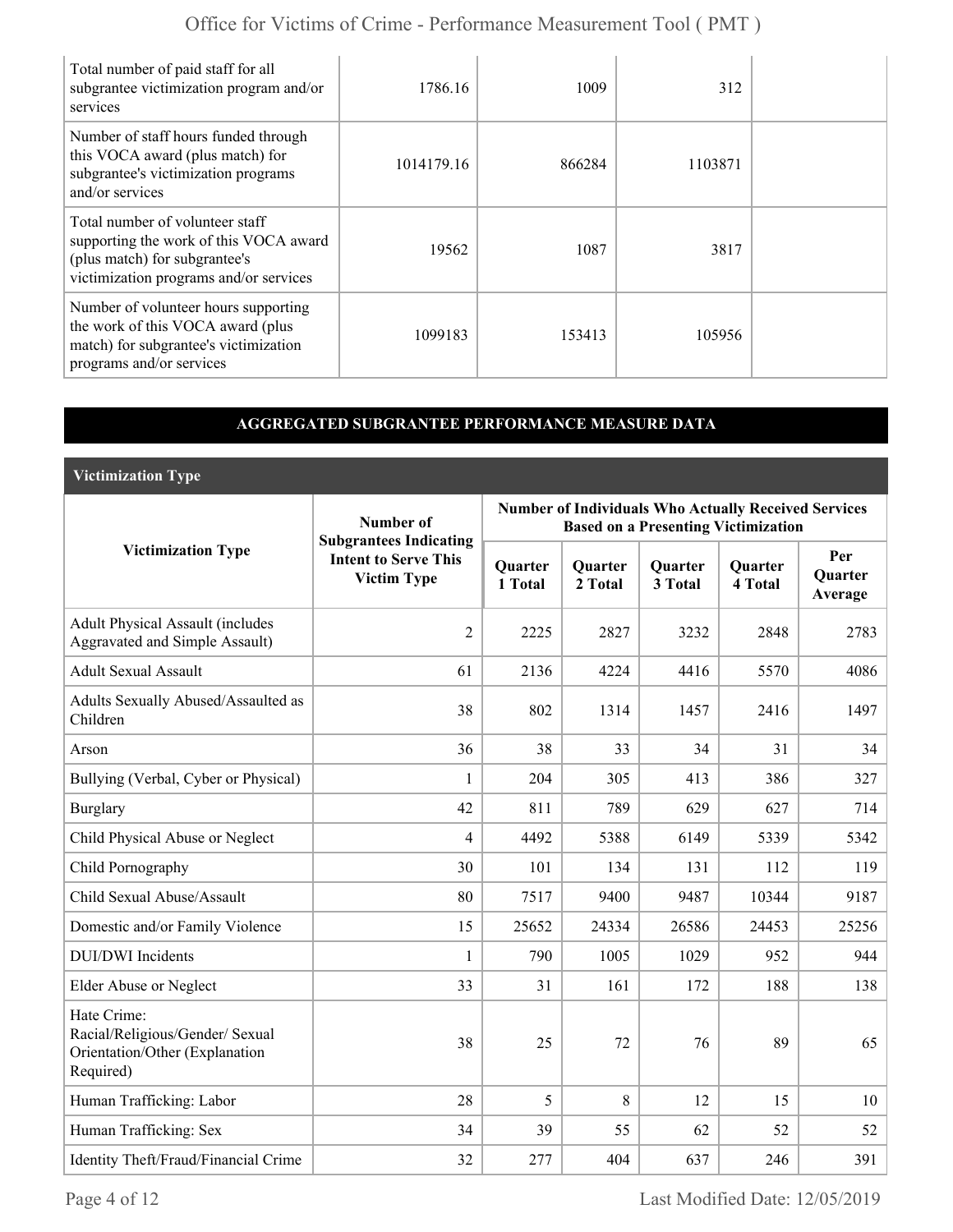| Total number of paid staff for all<br>subgrantee victimization program and/or<br>services                                                            | 1786.16    | 1009   | 312     |  |
|------------------------------------------------------------------------------------------------------------------------------------------------------|------------|--------|---------|--|
| Number of staff hours funded through<br>this VOCA award (plus match) for<br>subgrantee's victimization programs<br>and/or services                   | 1014179.16 | 866284 | 1103871 |  |
| Total number of volunteer staff<br>supporting the work of this VOCA award<br>(plus match) for subgrantee's<br>victimization programs and/or services | 19562      | 1087   | 3817    |  |
| Number of volunteer hours supporting<br>the work of this VOCA award (plus<br>match) for subgrantee's victimization<br>programs and/or services       | 1099183    | 153413 | 105956  |  |

### **AGGREGATED SUBGRANTEE PERFORMANCE MEASURE DATA**

**Victimization Type**

|                                                                                               | Number of                                                                          | <b>Number of Individuals Who Actually Received Services</b><br><b>Based on a Presenting Victimization</b> |                    |                    |                           |                                  |
|-----------------------------------------------------------------------------------------------|------------------------------------------------------------------------------------|-----------------------------------------------------------------------------------------------------------|--------------------|--------------------|---------------------------|----------------------------------|
| <b>Victimization Type</b>                                                                     | <b>Subgrantees Indicating</b><br><b>Intent to Serve This</b><br><b>Victim Type</b> | <b>Quarter</b><br>1 Total                                                                                 | Quarter<br>2 Total | Quarter<br>3 Total | <b>Quarter</b><br>4 Total | Per<br><b>Ouarter</b><br>Average |
| <b>Adult Physical Assault (includes</b><br><b>Aggravated and Simple Assault)</b>              | $\overline{2}$                                                                     | 2225                                                                                                      | 2827               | 3232               | 2848                      | 2783                             |
| <b>Adult Sexual Assault</b>                                                                   | 61                                                                                 | 2136                                                                                                      | 4224               | 4416               | 5570                      | 4086                             |
| Adults Sexually Abused/Assaulted as<br>Children                                               | 38                                                                                 | 802                                                                                                       | 1314               | 1457               | 2416                      | 1497                             |
| Arson                                                                                         | 36                                                                                 | 38                                                                                                        | 33                 | 34                 | 31                        | 34                               |
| Bullying (Verbal, Cyber or Physical)                                                          | 1                                                                                  | 204                                                                                                       | 305                | 413                | 386                       | 327                              |
| <b>Burglary</b>                                                                               | 42                                                                                 | 811                                                                                                       | 789                | 629                | 627                       | 714                              |
| Child Physical Abuse or Neglect                                                               | $\overline{4}$                                                                     | 4492                                                                                                      | 5388               | 6149               | 5339                      | 5342                             |
| Child Pornography                                                                             | 30                                                                                 | 101                                                                                                       | 134                | 131                | 112                       | 119                              |
| Child Sexual Abuse/Assault                                                                    | 80                                                                                 | 7517                                                                                                      | 9400               | 9487               | 10344                     | 9187                             |
| Domestic and/or Family Violence                                                               | 15                                                                                 | 25652                                                                                                     | 24334              | 26586              | 24453                     | 25256                            |
| <b>DUI/DWI</b> Incidents                                                                      | 1                                                                                  | 790                                                                                                       | 1005               | 1029               | 952                       | 944                              |
| <b>Elder Abuse or Neglect</b>                                                                 | 33                                                                                 | 31                                                                                                        | 161                | 172                | 188                       | 138                              |
| Hate Crime:<br>Racial/Religious/Gender/ Sexual<br>Orientation/Other (Explanation<br>Required) | 38                                                                                 | 25                                                                                                        | 72                 | 76                 | 89                        | 65                               |
| Human Trafficking: Labor                                                                      | 28                                                                                 | 5                                                                                                         | 8                  | 12                 | 15                        | 10                               |
| Human Trafficking: Sex                                                                        | 34                                                                                 | 39                                                                                                        | 55                 | 62                 | 52                        | 52                               |
| Identity Theft/Fraud/Financial Crime                                                          | 32                                                                                 | 277                                                                                                       | 404                | 637                | 246                       | 391                              |

Page 4 of 12 Last Modified Date: 12/05/2019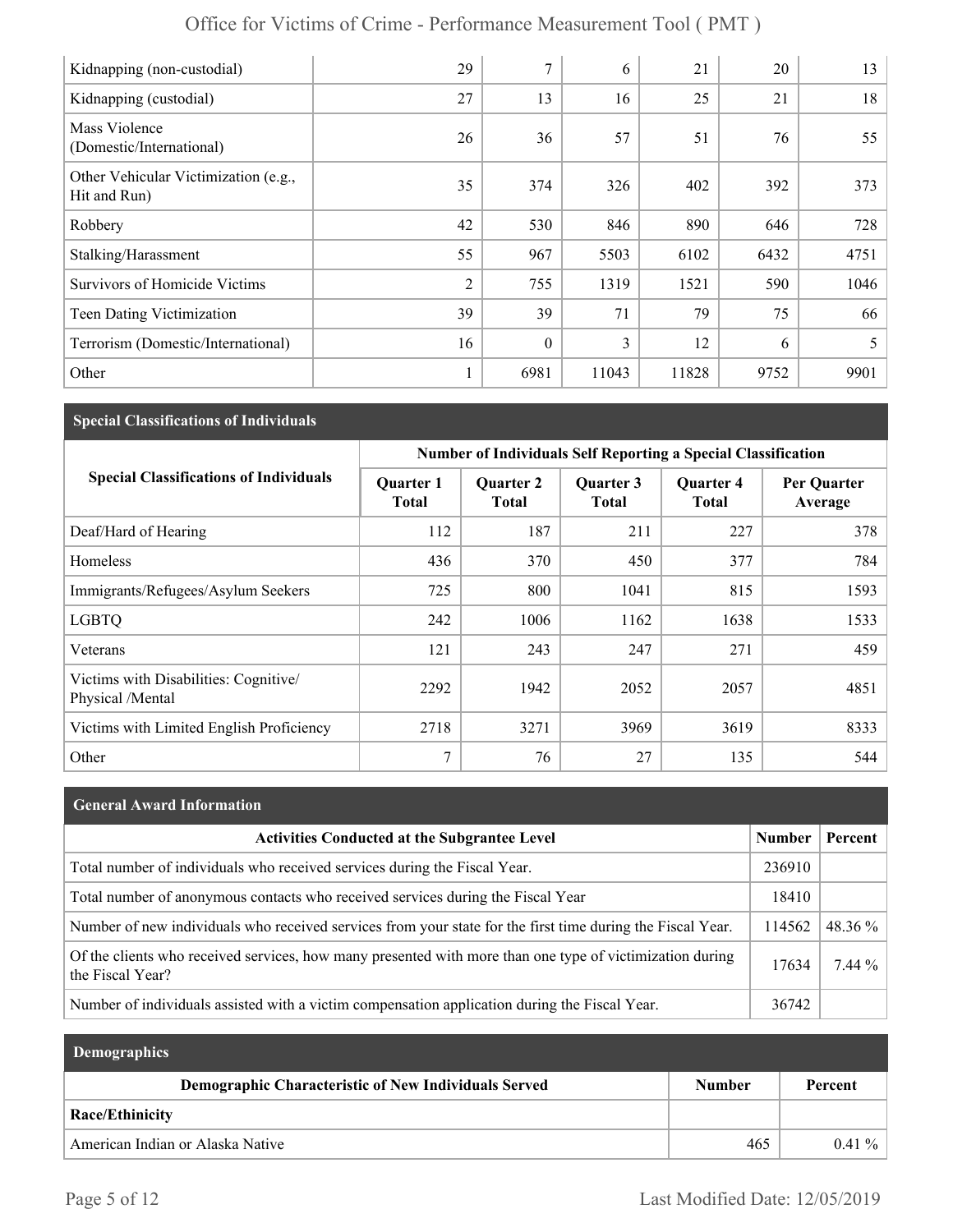| Office for Victims of Crime - Performance Measurement Tool (PMT) |  |
|------------------------------------------------------------------|--|
|------------------------------------------------------------------|--|

| Kidnapping (non-custodial)                           | 29             | 7                | 6     | 21    | 20   | 13   |
|------------------------------------------------------|----------------|------------------|-------|-------|------|------|
| Kidnapping (custodial)                               | 27             | 13               | 16    | 25    | 21   | 18   |
| Mass Violence<br>(Domestic/International)            | 26             | 36               | 57    | 51    | 76   | 55   |
| Other Vehicular Victimization (e.g.,<br>Hit and Run) | 35             | 374              | 326   | 402   | 392  | 373  |
| Robbery                                              | 42             | 530              | 846   | 890   | 646  | 728  |
| Stalking/Harassment                                  | 55             | 967              | 5503  | 6102  | 6432 | 4751 |
| Survivors of Homicide Victims                        | $\overline{2}$ | 755              | 1319  | 1521  | 590  | 1046 |
| <b>Teen Dating Victimization</b>                     | 39             | 39               | 71    | 79    | 75   | 66   |
| Terrorism (Domestic/International)                   | 16             | $\boldsymbol{0}$ | 3     | 12    | 6    | 5    |
| Other                                                |                | 6981             | 11043 | 11828 | 9752 | 9901 |

### **Special Classifications of Individuals**

|                                                           | <b>Number of Individuals Self Reporting a Special Classification</b> |                                  |                    |                                  |                        |
|-----------------------------------------------------------|----------------------------------------------------------------------|----------------------------------|--------------------|----------------------------------|------------------------|
| <b>Special Classifications of Individuals</b>             | <b>Quarter 1</b><br><b>Total</b>                                     | <b>Quarter 2</b><br><b>Total</b> | Quarter 3<br>Total | <b>Quarter 4</b><br><b>Total</b> | Per Quarter<br>Average |
| Deaf/Hard of Hearing                                      | 112                                                                  | 187                              | 211                | 227                              | 378                    |
| Homeless                                                  | 436                                                                  | 370                              | 450                | 377                              | 784                    |
| Immigrants/Refugees/Asylum Seekers                        | 725                                                                  | 800                              | 1041               | 815                              | 1593                   |
| <b>LGBTQ</b>                                              | 242                                                                  | 1006                             | 1162               | 1638                             | 1533                   |
| Veterans                                                  | 121                                                                  | 243                              | 247                | 271                              | 459                    |
| Victims with Disabilities: Cognitive/<br>Physical /Mental | 2292                                                                 | 1942                             | 2052               | 2057                             | 4851                   |
| Victims with Limited English Proficiency                  | 2718                                                                 | 3271                             | 3969               | 3619                             | 8333                   |
| Other                                                     | 7                                                                    | 76                               | 27                 | 135                              | 544                    |

| <b>General Award Information</b> |  |
|----------------------------------|--|
|----------------------------------|--|

| <b>Activities Conducted at the Subgrantee Level</b>                                                                          | <b>Number</b> | Percent    |
|------------------------------------------------------------------------------------------------------------------------------|---------------|------------|
| Total number of individuals who received services during the Fiscal Year.                                                    | 236910        |            |
| Total number of anonymous contacts who received services during the Fiscal Year                                              | 18410         |            |
| Number of new individuals who received services from your state for the first time during the Fiscal Year.                   | 114562        | 48.36 $\%$ |
| Of the clients who received services, how many presented with more than one type of victimization during<br>the Fiscal Year? | 17634         | $7.44\%$   |
| Number of individuals assisted with a victim compensation application during the Fiscal Year.                                | 36742         |            |

| <b>Demographics</b>                                         |        |          |
|-------------------------------------------------------------|--------|----------|
| <b>Demographic Characteristic of New Individuals Served</b> | Number | Percent  |
| Race/Ethinicity                                             |        |          |
| American Indian or Alaska Native                            | 465    | $0.41\%$ |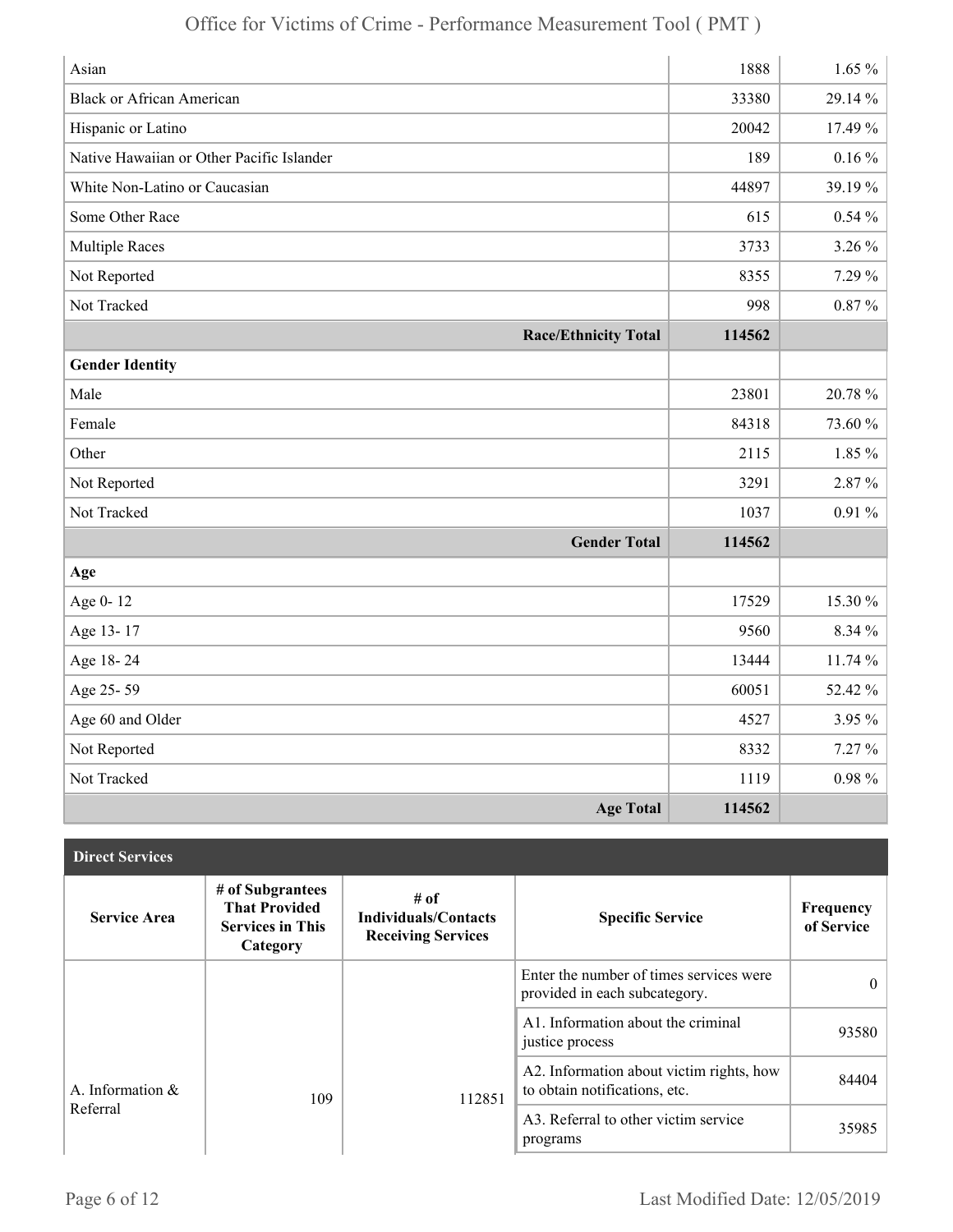| Asian                                     | 1888   | $1.65 \%$  |
|-------------------------------------------|--------|------------|
| <b>Black or African American</b>          | 33380  | 29.14%     |
| Hispanic or Latino                        | 20042  | 17.49 %    |
| Native Hawaiian or Other Pacific Islander | 189    | $0.16\%$   |
| White Non-Latino or Caucasian             | 44897  | 39.19%     |
| Some Other Race                           | 615    | $0.54\%$   |
| <b>Multiple Races</b>                     | 3733   | 3.26 %     |
| Not Reported                              | 8355   | 7.29 %     |
| Not Tracked                               | 998    | $0.87\%$   |
| <b>Race/Ethnicity Total</b>               | 114562 |            |
| <b>Gender Identity</b>                    |        |            |
| Male                                      | 23801  | 20.78 %    |
| Female                                    | 84318  | 73.60 %    |
| Other                                     | 2115   | $1.85\%$   |
| Not Reported                              | 3291   | 2.87%      |
| Not Tracked                               | 1037   | $0.91\%$   |
| <b>Gender Total</b>                       | 114562 |            |
| Age                                       |        |            |
| Age 0-12                                  | 17529  | 15.30 %    |
| Age 13-17                                 | 9560   | 8.34 %     |
| Age 18-24                                 | 13444  | 11.74 %    |
| Age 25-59                                 | 60051  | 52.42 %    |
| Age 60 and Older                          | 4527   | 3.95 %     |
| Not Reported                              | 8332   | $7.27\%$   |
| Not Tracked                               | 1119   | $0.98\ \%$ |
| <b>Age Total</b>                          | 114562 |            |

| <b>Direct Services</b> |                                                                                 |                                                                  |                                                                           |                         |
|------------------------|---------------------------------------------------------------------------------|------------------------------------------------------------------|---------------------------------------------------------------------------|-------------------------|
| <b>Service Area</b>    | # of Subgrantees<br><b>That Provided</b><br><b>Services in This</b><br>Category | # of<br><b>Individuals/Contacts</b><br><b>Receiving Services</b> | <b>Specific Service</b>                                                   | Frequency<br>of Service |
|                        |                                                                                 |                                                                  | Enter the number of times services were<br>provided in each subcategory.  | $\theta$                |
|                        |                                                                                 |                                                                  | A1. Information about the criminal<br>justice process                     | 93580                   |
| A. Information $\&$    | 109                                                                             | 112851                                                           | A2. Information about victim rights, how<br>to obtain notifications, etc. | 84404                   |
| Referral               |                                                                                 |                                                                  | A3. Referral to other victim service<br>programs                          | 35985                   |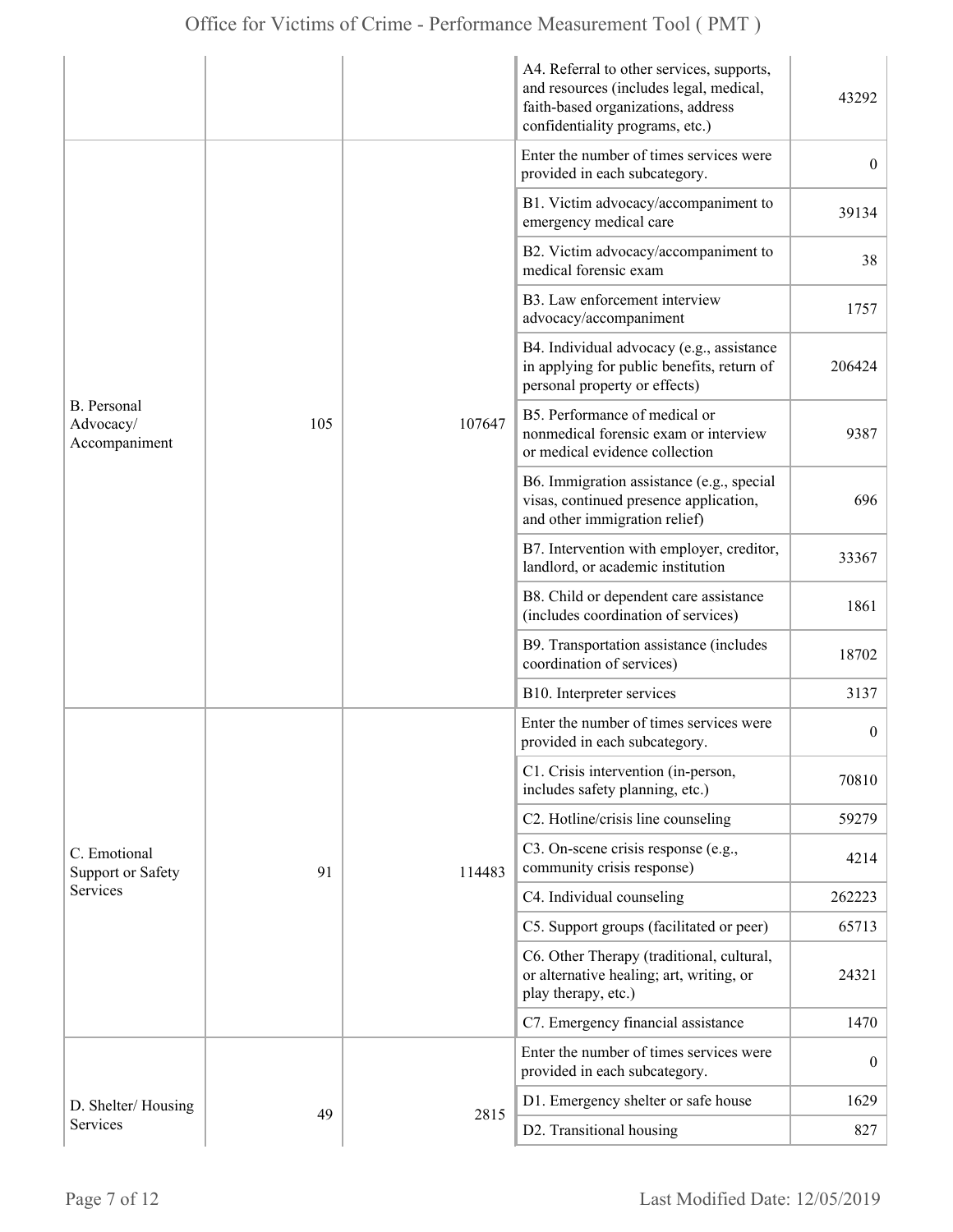|                                                  |     |        | A4. Referral to other services, supports,<br>and resources (includes legal, medical,<br>faith-based organizations, address<br>confidentiality programs, etc.) | 43292            |
|--------------------------------------------------|-----|--------|---------------------------------------------------------------------------------------------------------------------------------------------------------------|------------------|
|                                                  |     |        | Enter the number of times services were<br>provided in each subcategory.                                                                                      | $\overline{0}$   |
|                                                  |     |        | B1. Victim advocacy/accompaniment to<br>emergency medical care                                                                                                | 39134            |
|                                                  |     |        | B2. Victim advocacy/accompaniment to<br>medical forensic exam                                                                                                 | 38               |
|                                                  |     |        | B3. Law enforcement interview<br>advocacy/accompaniment                                                                                                       | 1757             |
|                                                  |     |        | B4. Individual advocacy (e.g., assistance<br>in applying for public benefits, return of<br>personal property or effects)                                      | 206424           |
| <b>B.</b> Personal<br>Advocacy/<br>Accompaniment | 105 | 107647 | B5. Performance of medical or<br>nonmedical forensic exam or interview<br>or medical evidence collection                                                      | 9387             |
|                                                  |     |        | B6. Immigration assistance (e.g., special<br>visas, continued presence application,<br>and other immigration relief)                                          | 696              |
|                                                  |     |        | B7. Intervention with employer, creditor,<br>landlord, or academic institution                                                                                | 33367            |
|                                                  |     |        | B8. Child or dependent care assistance<br>(includes coordination of services)                                                                                 | 1861             |
|                                                  |     |        | B9. Transportation assistance (includes<br>coordination of services)                                                                                          | 18702            |
|                                                  |     |        | B10. Interpreter services                                                                                                                                     | 3137             |
|                                                  |     |        | Enter the number of times services were<br>provided in each subcategory.                                                                                      | $\boldsymbol{0}$ |
|                                                  |     |        | C1. Crisis intervention (in-person,<br>includes safety planning, etc.)                                                                                        | 70810            |
|                                                  |     |        | C2. Hotline/crisis line counseling                                                                                                                            | 59279            |
| C. Emotional<br><b>Support or Safety</b>         | 91  | 114483 | C3. On-scene crisis response (e.g.,<br>community crisis response)                                                                                             | 4214             |
| <b>Services</b>                                  |     |        | C4. Individual counseling                                                                                                                                     | 262223           |
|                                                  |     |        | C5. Support groups (facilitated or peer)                                                                                                                      | 65713            |
|                                                  |     |        | C6. Other Therapy (traditional, cultural,<br>or alternative healing; art, writing, or<br>play therapy, etc.)                                                  | 24321            |
|                                                  |     |        | C7. Emergency financial assistance                                                                                                                            | 1470             |
|                                                  |     |        | Enter the number of times services were<br>provided in each subcategory.                                                                                      | $\overline{0}$   |
| D. Shelter/Housing                               |     |        | D1. Emergency shelter or safe house                                                                                                                           | 1629             |
| Services                                         | 49  | 2815   | D2. Transitional housing                                                                                                                                      | 827              |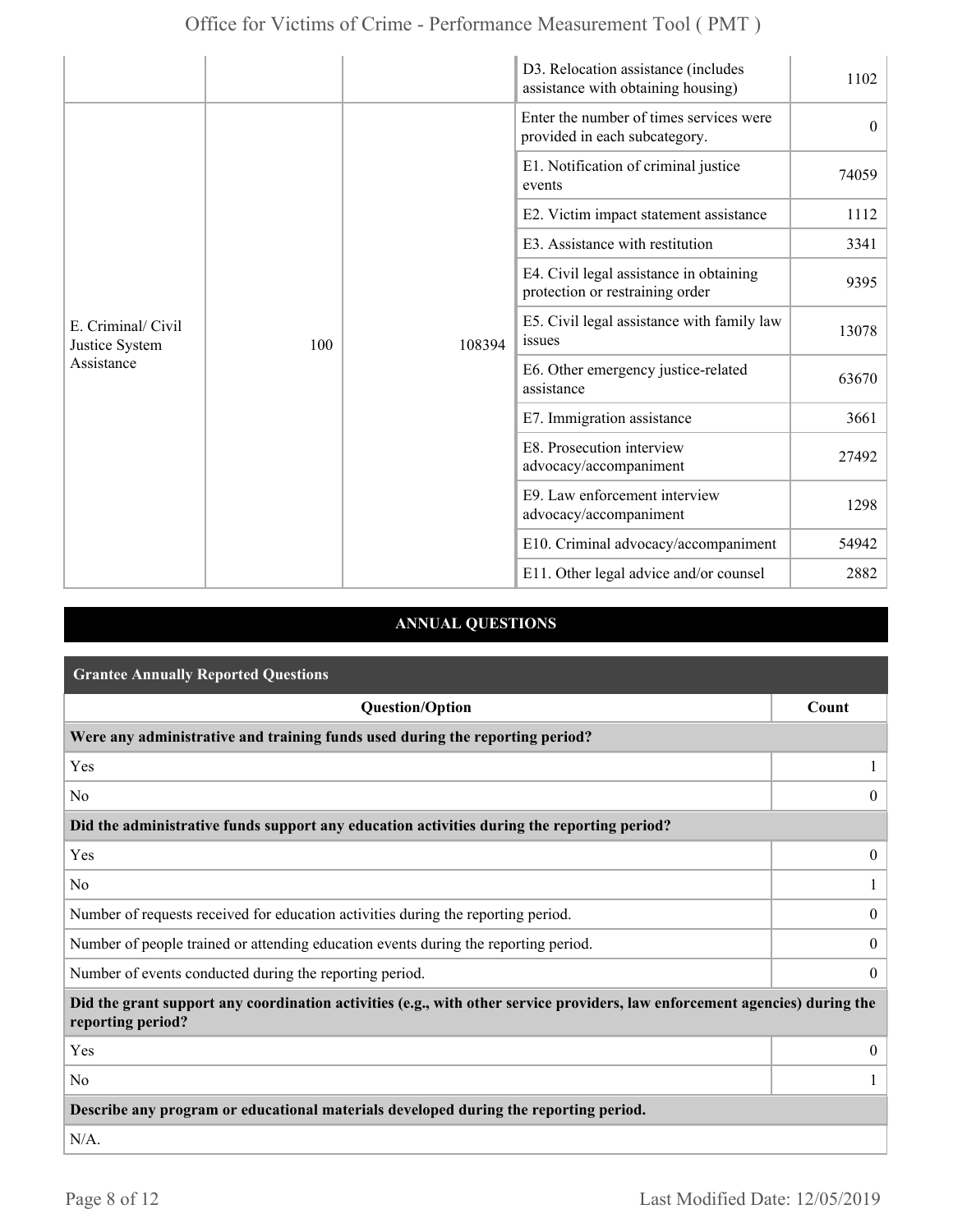|                                                    |     |        | D3. Relocation assistance (includes<br>assistance with obtaining housing)  | 1102     |
|----------------------------------------------------|-----|--------|----------------------------------------------------------------------------|----------|
|                                                    |     |        | Enter the number of times services were<br>provided in each subcategory.   | $\theta$ |
|                                                    |     |        | E1. Notification of criminal justice<br>events                             | 74059    |
|                                                    |     |        | E2. Victim impact statement assistance                                     | 1112     |
| E. Criminal/ Civil<br>Justice System<br>Assistance |     |        | E3. Assistance with restitution                                            | 3341     |
|                                                    |     |        | E4. Civil legal assistance in obtaining<br>protection or restraining order | 9395     |
|                                                    | 100 | 108394 | E5. Civil legal assistance with family law<br>issues                       | 13078    |
|                                                    |     |        | E6. Other emergency justice-related<br>assistance                          | 63670    |
|                                                    |     |        | E7. Immigration assistance                                                 | 3661     |
|                                                    |     |        | E8. Prosecution interview<br>advocacy/accompaniment                        | 27492    |
|                                                    |     |        | E9. Law enforcement interview<br>advocacy/accompaniment                    | 1298     |
|                                                    |     |        | E10. Criminal advocacy/accompaniment                                       | 54942    |
|                                                    |     |        | E11. Other legal advice and/or counsel                                     | 2882     |

### **ANNUAL QUESTIONS**

| <b>Grantee Annually Reported Questions</b>                                                                                                       |                  |  |
|--------------------------------------------------------------------------------------------------------------------------------------------------|------------------|--|
| <b>Question/Option</b>                                                                                                                           | Count            |  |
| Were any administrative and training funds used during the reporting period?                                                                     |                  |  |
| Yes                                                                                                                                              |                  |  |
| N <sub>0</sub>                                                                                                                                   | $\theta$         |  |
| Did the administrative funds support any education activities during the reporting period?                                                       |                  |  |
| Yes                                                                                                                                              | $\overline{0}$   |  |
| N <sub>0</sub>                                                                                                                                   |                  |  |
| Number of requests received for education activities during the reporting period.                                                                |                  |  |
| Number of people trained or attending education events during the reporting period.                                                              | $\boldsymbol{0}$ |  |
| Number of events conducted during the reporting period.                                                                                          |                  |  |
| Did the grant support any coordination activities (e.g., with other service providers, law enforcement agencies) during the<br>reporting period? |                  |  |
| Yes                                                                                                                                              | $\overline{0}$   |  |
| N <sub>0</sub>                                                                                                                                   |                  |  |
| Describe any program or educational materials developed during the reporting period.                                                             |                  |  |
| $N/A$ .                                                                                                                                          |                  |  |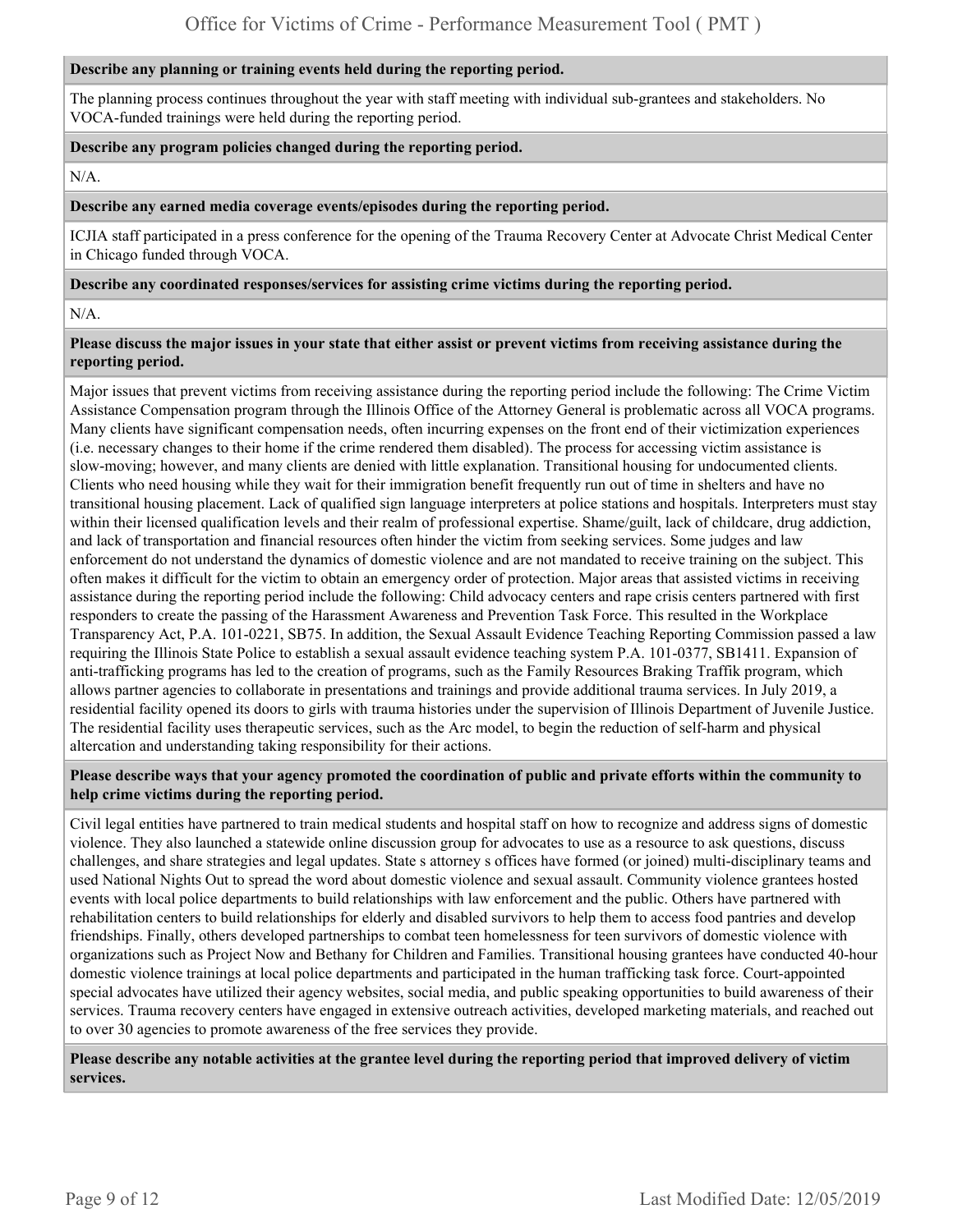#### **Describe any planning or training events held during the reporting period.**

The planning process continues throughout the year with staff meeting with individual sub-grantees and stakeholders. No VOCA-funded trainings were held during the reporting period.

#### **Describe any program policies changed during the reporting period.**

N/A.

#### **Describe any earned media coverage events/episodes during the reporting period.**

ICJIA staff participated in a press conference for the opening of the Trauma Recovery Center at Advocate Christ Medical Center in Chicago funded through VOCA.

#### **Describe any coordinated responses/services for assisting crime victims during the reporting period.**

 $N/A$ 

#### **Please discuss the major issues in your state that either assist or prevent victims from receiving assistance during the reporting period.**

Major issues that prevent victims from receiving assistance during the reporting period include the following: The Crime Victim Assistance Compensation program through the Illinois Office of the Attorney General is problematic across all VOCA programs. Many clients have significant compensation needs, often incurring expenses on the front end of their victimization experiences (i.e. necessary changes to their home if the crime rendered them disabled). The process for accessing victim assistance is slow-moving; however, and many clients are denied with little explanation. Transitional housing for undocumented clients. Clients who need housing while they wait for their immigration benefit frequently run out of time in shelters and have no transitional housing placement. Lack of qualified sign language interpreters at police stations and hospitals. Interpreters must stay within their licensed qualification levels and their realm of professional expertise. Shame/guilt, lack of childcare, drug addiction, and lack of transportation and financial resources often hinder the victim from seeking services. Some judges and law enforcement do not understand the dynamics of domestic violence and are not mandated to receive training on the subject. This often makes it difficult for the victim to obtain an emergency order of protection. Major areas that assisted victims in receiving assistance during the reporting period include the following: Child advocacy centers and rape crisis centers partnered with first responders to create the passing of the Harassment Awareness and Prevention Task Force. This resulted in the Workplace Transparency Act, P.A. 101-0221, SB75. In addition, the Sexual Assault Evidence Teaching Reporting Commission passed a law requiring the Illinois State Police to establish a sexual assault evidence teaching system P.A. 101-0377, SB1411. Expansion of anti-trafficking programs has led to the creation of programs, such as the Family Resources Braking Traffik program, which allows partner agencies to collaborate in presentations and trainings and provide additional trauma services. In July 2019, a residential facility opened its doors to girls with trauma histories under the supervision of Illinois Department of Juvenile Justice. The residential facility uses therapeutic services, such as the Arc model, to begin the reduction of self-harm and physical altercation and understanding taking responsibility for their actions.

#### **Please describe ways that your agency promoted the coordination of public and private efforts within the community to help crime victims during the reporting period.**

Civil legal entities have partnered to train medical students and hospital staff on how to recognize and address signs of domestic violence. They also launched a statewide online discussion group for advocates to use as a resource to ask questions, discuss challenges, and share strategies and legal updates. State s attorney s offices have formed (or joined) multi-disciplinary teams and used National Nights Out to spread the word about domestic violence and sexual assault. Community violence grantees hosted events with local police departments to build relationships with law enforcement and the public. Others have partnered with rehabilitation centers to build relationships for elderly and disabled survivors to help them to access food pantries and develop friendships. Finally, others developed partnerships to combat teen homelessness for teen survivors of domestic violence with organizations such as Project Now and Bethany for Children and Families. Transitional housing grantees have conducted 40-hour domestic violence trainings at local police departments and participated in the human trafficking task force. Court-appointed special advocates have utilized their agency websites, social media, and public speaking opportunities to build awareness of their services. Trauma recovery centers have engaged in extensive outreach activities, developed marketing materials, and reached out to over 30 agencies to promote awareness of the free services they provide.

**Please describe any notable activities at the grantee level during the reporting period that improved delivery of victim services.**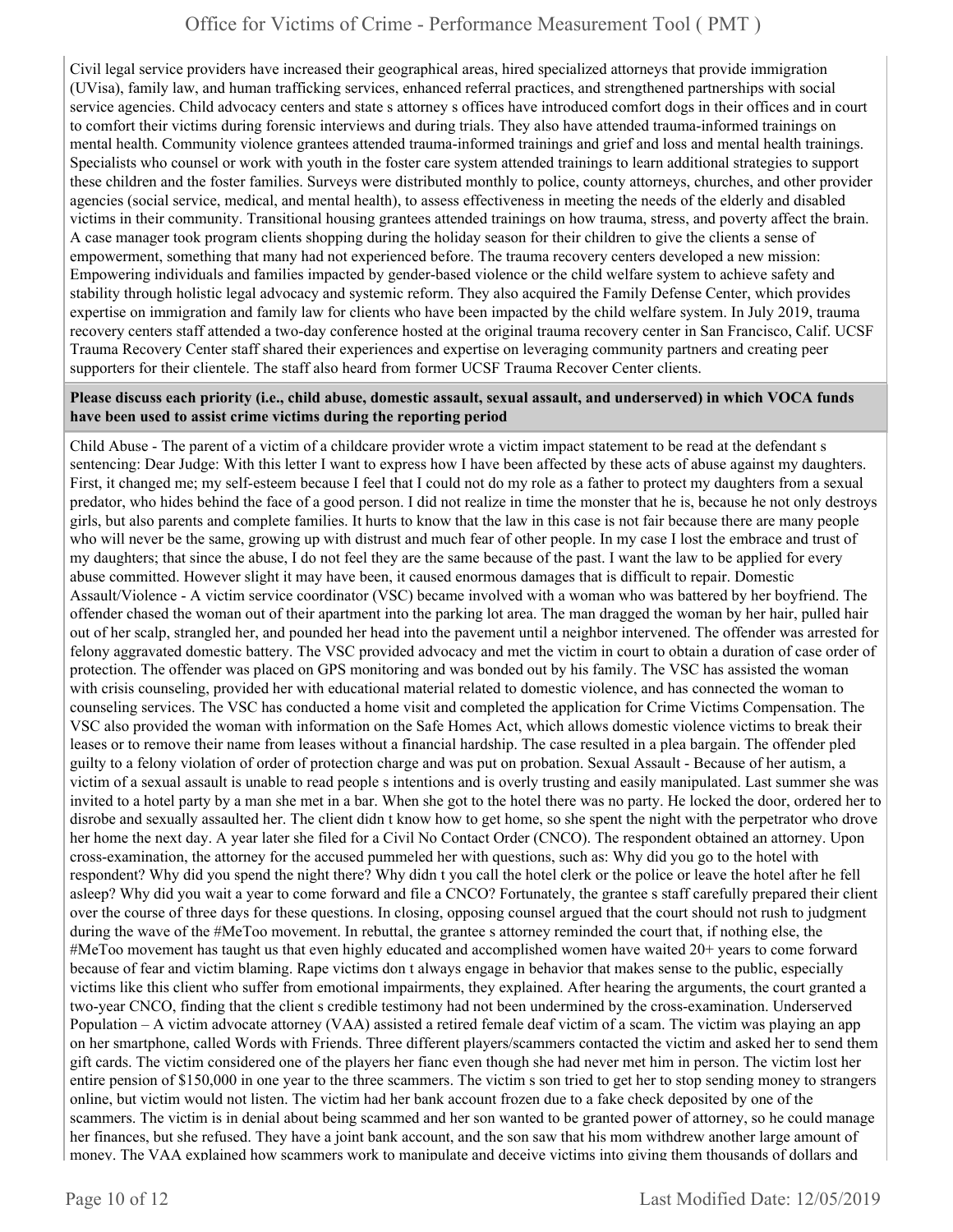Civil legal service providers have increased their geographical areas, hired specialized attorneys that provide immigration (UVisa), family law, and human trafficking services, enhanced referral practices, and strengthened partnerships with social service agencies. Child advocacy centers and state s attorney s offices have introduced comfort dogs in their offices and in court to comfort their victims during forensic interviews and during trials. They also have attended trauma-informed trainings on mental health. Community violence grantees attended trauma-informed trainings and grief and loss and mental health trainings. Specialists who counsel or work with youth in the foster care system attended trainings to learn additional strategies to support these children and the foster families. Surveys were distributed monthly to police, county attorneys, churches, and other provider agencies (social service, medical, and mental health), to assess effectiveness in meeting the needs of the elderly and disabled victims in their community. Transitional housing grantees attended trainings on how trauma, stress, and poverty affect the brain. A case manager took program clients shopping during the holiday season for their children to give the clients a sense of empowerment, something that many had not experienced before. The trauma recovery centers developed a new mission: Empowering individuals and families impacted by gender-based violence or the child welfare system to achieve safety and stability through holistic legal advocacy and systemic reform. They also acquired the Family Defense Center, which provides expertise on immigration and family law for clients who have been impacted by the child welfare system. In July 2019, trauma recovery centers staff attended a two-day conference hosted at the original trauma recovery center in San Francisco, Calif. UCSF Trauma Recovery Center staff shared their experiences and expertise on leveraging community partners and creating peer supporters for their clientele. The staff also heard from former UCSF Trauma Recover Center clients.

#### **Please discuss each priority (i.e., child abuse, domestic assault, sexual assault, and underserved) in which VOCA funds have been used to assist crime victims during the reporting period**

Child Abuse - The parent of a victim of a childcare provider wrote a victim impact statement to be read at the defendant s sentencing: Dear Judge: With this letter I want to express how I have been affected by these acts of abuse against my daughters. First, it changed me; my self-esteem because I feel that I could not do my role as a father to protect my daughters from a sexual predator, who hides behind the face of a good person. I did not realize in time the monster that he is, because he not only destroys girls, but also parents and complete families. It hurts to know that the law in this case is not fair because there are many people who will never be the same, growing up with distrust and much fear of other people. In my case I lost the embrace and trust of my daughters; that since the abuse, I do not feel they are the same because of the past. I want the law to be applied for every abuse committed. However slight it may have been, it caused enormous damages that is difficult to repair. Domestic Assault/Violence - A victim service coordinator (VSC) became involved with a woman who was battered by her boyfriend. The offender chased the woman out of their apartment into the parking lot area. The man dragged the woman by her hair, pulled hair out of her scalp, strangled her, and pounded her head into the pavement until a neighbor intervened. The offender was arrested for felony aggravated domestic battery. The VSC provided advocacy and met the victim in court to obtain a duration of case order of protection. The offender was placed on GPS monitoring and was bonded out by his family. The VSC has assisted the woman with crisis counseling, provided her with educational material related to domestic violence, and has connected the woman to counseling services. The VSC has conducted a home visit and completed the application for Crime Victims Compensation. The VSC also provided the woman with information on the Safe Homes Act, which allows domestic violence victims to break their leases or to remove their name from leases without a financial hardship. The case resulted in a plea bargain. The offender pled guilty to a felony violation of order of protection charge and was put on probation. Sexual Assault - Because of her autism, a victim of a sexual assault is unable to read people s intentions and is overly trusting and easily manipulated. Last summer she was invited to a hotel party by a man she met in a bar. When she got to the hotel there was no party. He locked the door, ordered her to disrobe and sexually assaulted her. The client didn t know how to get home, so she spent the night with the perpetrator who drove her home the next day. A year later she filed for a Civil No Contact Order (CNCO). The respondent obtained an attorney. Upon cross-examination, the attorney for the accused pummeled her with questions, such as: Why did you go to the hotel with respondent? Why did you spend the night there? Why didn t you call the hotel clerk or the police or leave the hotel after he fell asleep? Why did you wait a year to come forward and file a CNCO? Fortunately, the grantee s staff carefully prepared their client over the course of three days for these questions. In closing, opposing counsel argued that the court should not rush to judgment during the wave of the #MeToo movement. In rebuttal, the grantee s attorney reminded the court that, if nothing else, the #MeToo movement has taught us that even highly educated and accomplished women have waited 20+ years to come forward because of fear and victim blaming. Rape victims don t always engage in behavior that makes sense to the public, especially victims like this client who suffer from emotional impairments, they explained. After hearing the arguments, the court granted a two-year CNCO, finding that the client s credible testimony had not been undermined by the cross-examination. Underserved Population – A victim advocate attorney (VAA) assisted a retired female deaf victim of a scam. The victim was playing an app on her smartphone, called Words with Friends. Three different players/scammers contacted the victim and asked her to send them gift cards. The victim considered one of the players her fianc even though she had never met him in person. The victim lost her entire pension of \$150,000 in one year to the three scammers. The victim s son tried to get her to stop sending money to strangers online, but victim would not listen. The victim had her bank account frozen due to a fake check deposited by one of the scammers. The victim is in denial about being scammed and her son wanted to be granted power of attorney, so he could manage her finances, but she refused. They have a joint bank account, and the son saw that his mom withdrew another large amount of money. The VAA explained how scammers work to manipulate and deceive victims into giving them thousands of dollars and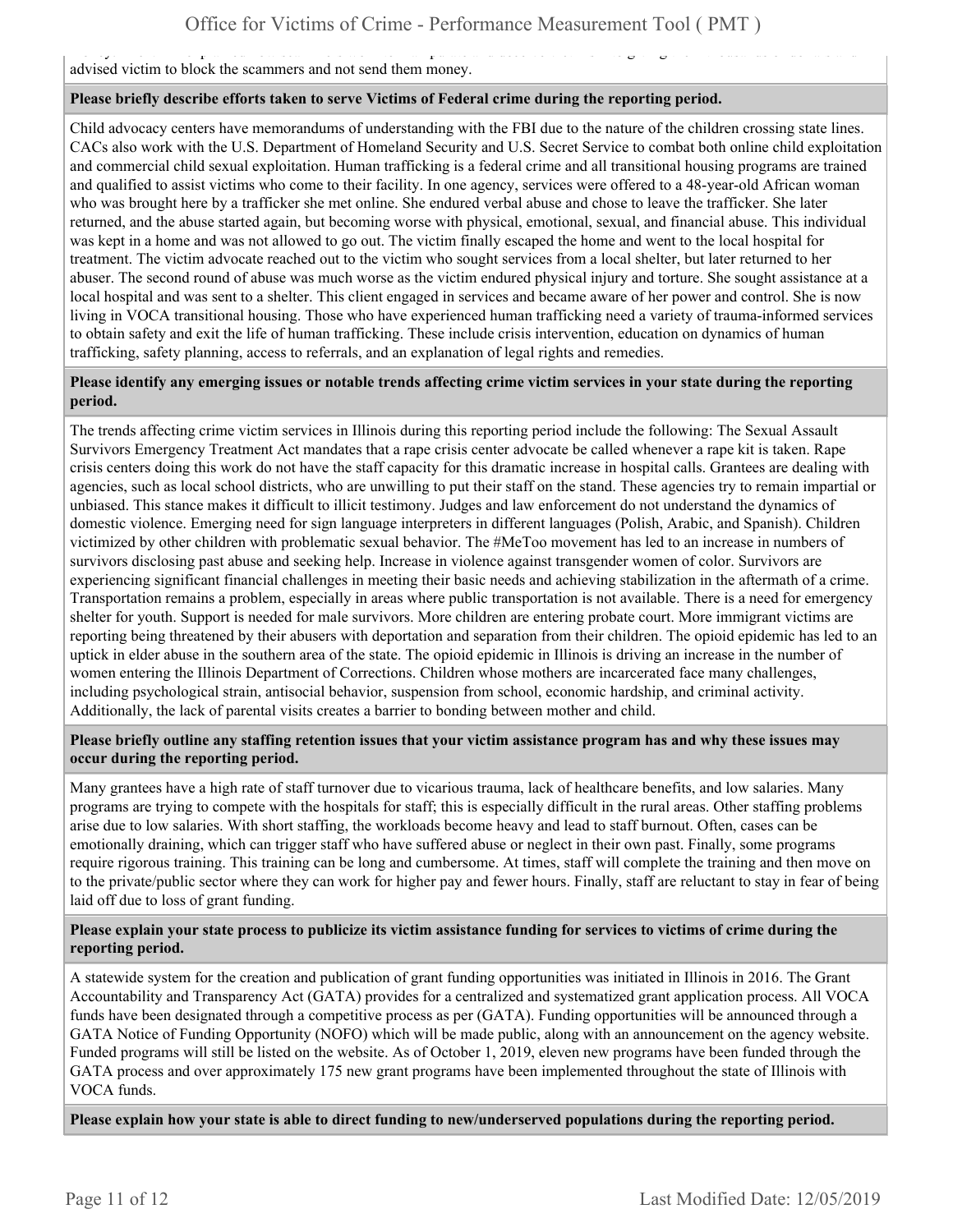money. The VAA explained how scame into the VAA explained them thousands into giving them thousands of dollars advised victim to block the scammers and not send them money.

#### **Please briefly describe efforts taken to serve Victims of Federal crime during the reporting period.**

Child advocacy centers have memorandums of understanding with the FBI due to the nature of the children crossing state lines. CACs also work with the U.S. Department of Homeland Security and U.S. Secret Service to combat both online child exploitation and commercial child sexual exploitation. Human trafficking is a federal crime and all transitional housing programs are trained and qualified to assist victims who come to their facility. In one agency, services were offered to a 48-year-old African woman who was brought here by a trafficker she met online. She endured verbal abuse and chose to leave the trafficker. She later returned, and the abuse started again, but becoming worse with physical, emotional, sexual, and financial abuse. This individual was kept in a home and was not allowed to go out. The victim finally escaped the home and went to the local hospital for treatment. The victim advocate reached out to the victim who sought services from a local shelter, but later returned to her abuser. The second round of abuse was much worse as the victim endured physical injury and torture. She sought assistance at a local hospital and was sent to a shelter. This client engaged in services and became aware of her power and control. She is now living in VOCA transitional housing. Those who have experienced human trafficking need a variety of trauma-informed services to obtain safety and exit the life of human trafficking. These include crisis intervention, education on dynamics of human trafficking, safety planning, access to referrals, and an explanation of legal rights and remedies.

#### **Please identify any emerging issues or notable trends affecting crime victim services in your state during the reporting period.**

The trends affecting crime victim services in Illinois during this reporting period include the following: The Sexual Assault Survivors Emergency Treatment Act mandates that a rape crisis center advocate be called whenever a rape kit is taken. Rape crisis centers doing this work do not have the staff capacity for this dramatic increase in hospital calls. Grantees are dealing with agencies, such as local school districts, who are unwilling to put their staff on the stand. These agencies try to remain impartial or unbiased. This stance makes it difficult to illicit testimony. Judges and law enforcement do not understand the dynamics of domestic violence. Emerging need for sign language interpreters in different languages (Polish, Arabic, and Spanish). Children victimized by other children with problematic sexual behavior. The #MeToo movement has led to an increase in numbers of survivors disclosing past abuse and seeking help. Increase in violence against transgender women of color. Survivors are experiencing significant financial challenges in meeting their basic needs and achieving stabilization in the aftermath of a crime. Transportation remains a problem, especially in areas where public transportation is not available. There is a need for emergency shelter for youth. Support is needed for male survivors. More children are entering probate court. More immigrant victims are reporting being threatened by their abusers with deportation and separation from their children. The opioid epidemic has led to an uptick in elder abuse in the southern area of the state. The opioid epidemic in Illinois is driving an increase in the number of women entering the Illinois Department of Corrections. Children whose mothers are incarcerated face many challenges, including psychological strain, antisocial behavior, suspension from school, economic hardship, and criminal activity. Additionally, the lack of parental visits creates a barrier to bonding between mother and child.

#### **Please briefly outline any staffing retention issues that your victim assistance program has and why these issues may occur during the reporting period.**

Many grantees have a high rate of staff turnover due to vicarious trauma, lack of healthcare benefits, and low salaries. Many programs are trying to compete with the hospitals for staff; this is especially difficult in the rural areas. Other staffing problems arise due to low salaries. With short staffing, the workloads become heavy and lead to staff burnout. Often, cases can be emotionally draining, which can trigger staff who have suffered abuse or neglect in their own past. Finally, some programs require rigorous training. This training can be long and cumbersome. At times, staff will complete the training and then move on to the private/public sector where they can work for higher pay and fewer hours. Finally, staff are reluctant to stay in fear of being laid off due to loss of grant funding.

#### **Please explain your state process to publicize its victim assistance funding for services to victims of crime during the reporting period.**

A statewide system for the creation and publication of grant funding opportunities was initiated in Illinois in 2016. The Grant Accountability and Transparency Act (GATA) provides for a centralized and systematized grant application process. All VOCA funds have been designated through a competitive process as per (GATA). Funding opportunities will be announced through a GATA Notice of Funding Opportunity (NOFO) which will be made public, along with an announcement on the agency website. Funded programs will still be listed on the website. As of October 1, 2019, eleven new programs have been funded through the GATA process and over approximately 175 new grant programs have been implemented throughout the state of Illinois with VOCA funds.

**Please explain how your state is able to direct funding to new/underserved populations during the reporting period.**